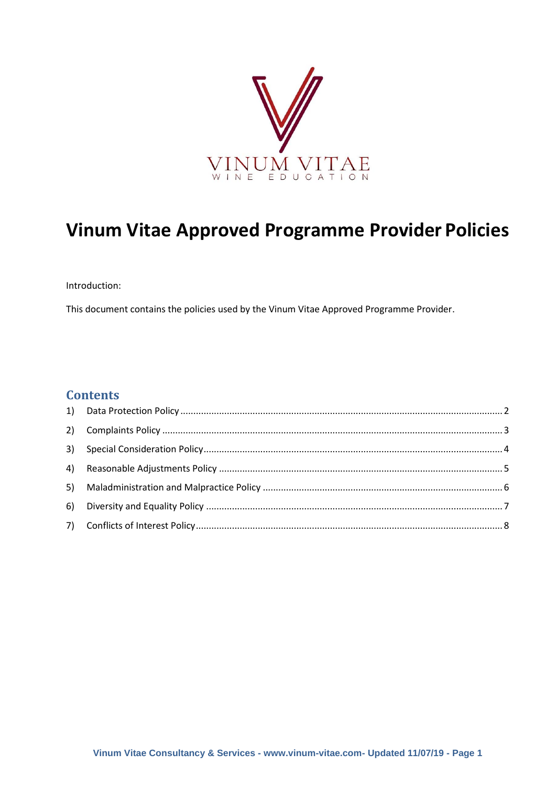

# **Vinum Vitae Approved Programme Provider Policies**

Introduction:

This document contains the policies used by the Vinum Vitae Approved Programme Provider.

### **Contents**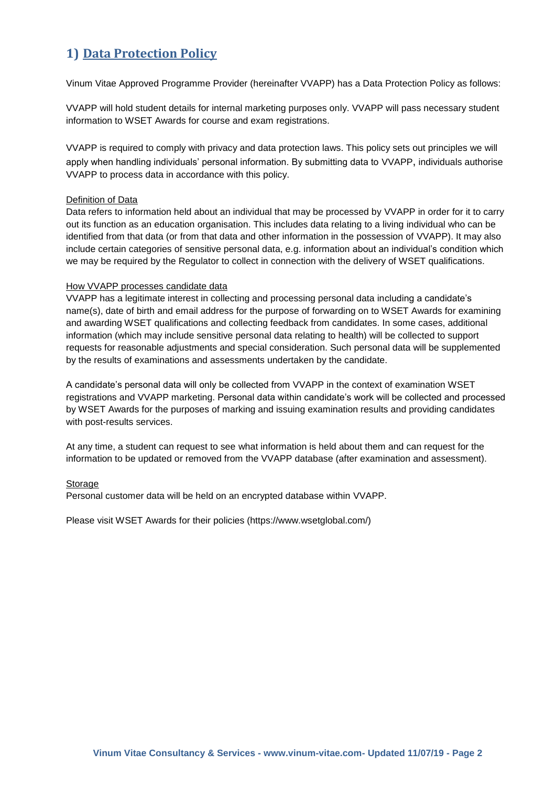## <span id="page-1-0"></span>**1) Data Protection Policy**

Vinum Vitae Approved Programme Provider (hereinafter VVAPP) has a Data Protection Policy as follows:

VVAPP will hold student details for internal marketing purposes only. VVAPP will pass necessary student information to WSET Awards for course and exam registrations.

VVAPP is required to comply with privacy and data protection laws. This policy sets out principles we will apply when handling individuals' personal information. By submitting data to VVAPP, individuals authorise VVAPP to process data in accordance with this policy.

#### Definition of Data

Data refers to information held about an individual that may be processed by VVAPP in order for it to carry out its function as an education organisation. This includes data relating to a living individual who can be identified from that data (or from that data and other information in the possession of VVAPP). It may also include certain categories of sensitive personal data, e.g. information about an individual's condition which we may be required by the Regulator to collect in connection with the delivery of WSET qualifications.

#### How VVAPP processes candidate data

VVAPP has a legitimate interest in collecting and processing personal data including a candidate's name(s), date of birth and email address for the purpose of forwarding on to WSET Awards for examining and awarding WSET qualifications and collecting feedback from candidates. In some cases, additional information (which may include sensitive personal data relating to health) will be collected to support requests for reasonable adjustments and special consideration. Such personal data will be supplemented by the results of examinations and assessments undertaken by the candidate.

A candidate's personal data will only be collected from VVAPP in the context of examination WSET registrations and VVAPP marketing. Personal data within candidate's work will be collected and processed by WSET Awards for the purposes of marking and issuing examination results and providing candidates with post-results services.

At any time, a student can request to see what information is held about them and can request for the information to be updated or removed from the VVAPP database (after examination and assessment).

#### Storage

Personal customer data will be held on an encrypted database within VVAPP.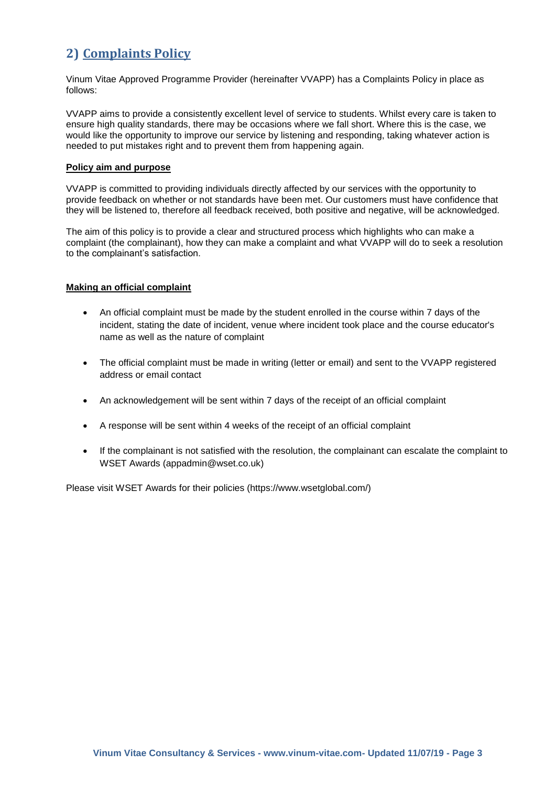### <span id="page-2-0"></span>**2) Complaints Policy**

Vinum Vitae Approved Programme Provider (hereinafter VVAPP) has a Complaints Policy in place as follows:

VVAPP aims to provide a consistently excellent level of service to students. Whilst every care is taken to ensure high quality standards, there may be occasions where we fall short. Where this is the case, we would like the opportunity to improve our service by listening and responding, taking whatever action is needed to put mistakes right and to prevent them from happening again.

#### **Policy aim and purpose**

VVAPP is committed to providing individuals directly affected by our services with the opportunity to provide feedback on whether or not standards have been met. Our customers must have confidence that they will be listened to, therefore all feedback received, both positive and negative, will be acknowledged.

The aim of this policy is to provide a clear and structured process which highlights who can make a complaint (the complainant), how they can make a complaint and what VVAPP will do to seek a resolution to the complainant's satisfaction.

#### **Making an official complaint**

- An official complaint must be made by the student enrolled in the course within 7 days of the incident, stating the date of incident, venue where incident took place and the course educator's name as well as the nature of complaint
- The official complaint must be made in writing (letter or email) and sent to the VVAPP registered address or email contact
- An acknowledgement will be sent within 7 days of the receipt of an official complaint
- A response will be sent within 4 weeks of the receipt of an official complaint
- If the complainant is not satisfied with the resolution, the complainant can escalate the complaint to WSET Awards (appadmin@wset.co.uk)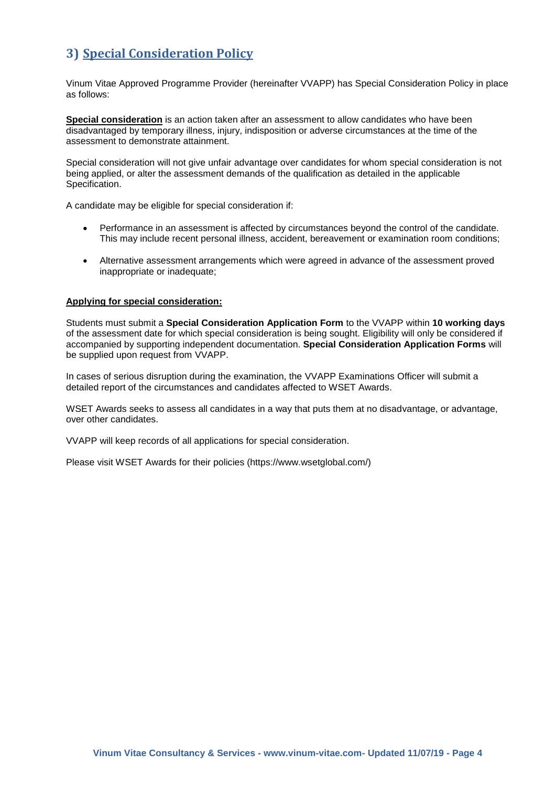### <span id="page-3-0"></span>**3) Special Consideration Policy**

Vinum Vitae Approved Programme Provider (hereinafter VVAPP) has Special Consideration Policy in place as follows:

**Special consideration** is an action taken after an assessment to allow candidates who have been disadvantaged by temporary illness, injury, indisposition or adverse circumstances at the time of the assessment to demonstrate attainment.

Special consideration will not give unfair advantage over candidates for whom special consideration is not being applied, or alter the assessment demands of the qualification as detailed in the applicable Specification.

A candidate may be eligible for special consideration if:

- Performance in an assessment is affected by circumstances beyond the control of the candidate. This may include recent personal illness, accident, bereavement or examination room conditions;
- Alternative assessment arrangements which were agreed in advance of the assessment proved inappropriate or inadequate;

#### **Applying for special consideration:**

Students must submit a **Special Consideration Application Form** to the VVAPP within **10 working days**  of the assessment date for which special consideration is being sought. Eligibility will only be considered if accompanied by supporting independent documentation. **Special Consideration Application Forms** will be supplied upon request from VVAPP.

In cases of serious disruption during the examination, the VVAPP Examinations Officer will submit a detailed report of the circumstances and candidates affected to WSET Awards.

WSET Awards seeks to assess all candidates in a way that puts them at no disadvantage, or advantage, over other candidates.

VVAPP will keep records of all applications for special consideration.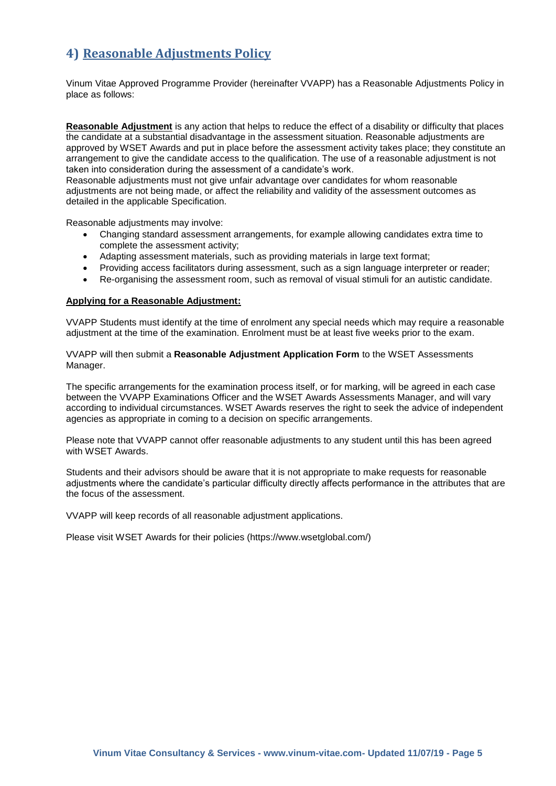### <span id="page-4-0"></span>**4) Reasonable Adjustments Policy**

Vinum Vitae Approved Programme Provider (hereinafter VVAPP) has a Reasonable Adjustments Policy in place as follows:

**Reasonable Adjustment** is any action that helps to reduce the effect of a disability or difficulty that places the candidate at a substantial disadvantage in the assessment situation. Reasonable adjustments are approved by WSET Awards and put in place before the assessment activity takes place; they constitute an arrangement to give the candidate access to the qualification. The use of a reasonable adjustment is not taken into consideration during the assessment of a candidate's work.

Reasonable adjustments must not give unfair advantage over candidates for whom reasonable adjustments are not being made, or affect the reliability and validity of the assessment outcomes as detailed in the applicable Specification.

Reasonable adjustments may involve:

- Changing standard assessment arrangements, for example allowing candidates extra time to complete the assessment activity;
- Adapting assessment materials, such as providing materials in large text format;
- Providing access facilitators during assessment, such as a sign language interpreter or reader;
- Re-organising the assessment room, such as removal of visual stimuli for an autistic candidate.

#### **Applying for a Reasonable Adjustment:**

VVAPP Students must identify at the time of enrolment any special needs which may require a reasonable adjustment at the time of the examination. Enrolment must be at least five weeks prior to the exam.

VVAPP will then submit a **Reasonable Adjustment Application Form** to the WSET Assessments Manager.

The specific arrangements for the examination process itself, or for marking, will be agreed in each case between the VVAPP Examinations Officer and the WSET Awards Assessments Manager, and will vary according to individual circumstances. WSET Awards reserves the right to seek the advice of independent agencies as appropriate in coming to a decision on specific arrangements.

Please note that VVAPP cannot offer reasonable adjustments to any student until this has been agreed with WSET Awards.

Students and their advisors should be aware that it is not appropriate to make requests for reasonable adjustments where the candidate's particular difficulty directly affects performance in the attributes that are the focus of the assessment.

VVAPP will keep records of all reasonable adjustment applications.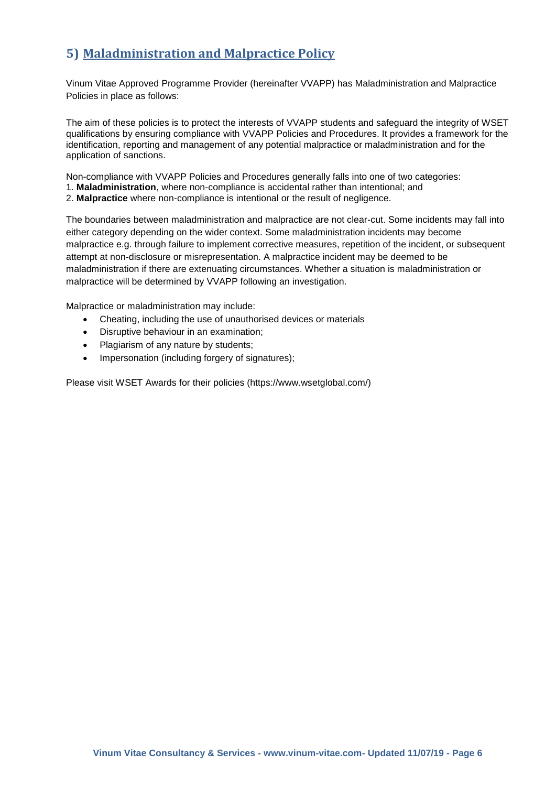### <span id="page-5-0"></span>**5) Maladministration and Malpractice Policy**

Vinum Vitae Approved Programme Provider (hereinafter VVAPP) has Maladministration and Malpractice Policies in place as follows:

The aim of these policies is to protect the interests of VVAPP students and safeguard the integrity of WSET qualifications by ensuring compliance with VVAPP Policies and Procedures. It provides a framework for the identification, reporting and management of any potential malpractice or maladministration and for the application of sanctions.

Non-compliance with VVAPP Policies and Procedures generally falls into one of two categories: 1. **Maladministration**, where non-compliance is accidental rather than intentional; and

2. **Malpractice** where non-compliance is intentional or the result of negligence.

The boundaries between maladministration and malpractice are not clear-cut. Some incidents may fall into either category depending on the wider context. Some maladministration incidents may become malpractice e.g. through failure to implement corrective measures, repetition of the incident, or subsequent attempt at non-disclosure or misrepresentation. A malpractice incident may be deemed to be maladministration if there are extenuating circumstances. Whether a situation is maladministration or malpractice will be determined by VVAPP following an investigation.

Malpractice or maladministration may include:

- Cheating, including the use of unauthorised devices or materials
- Disruptive behaviour in an examination;
- Plagiarism of any nature by students;
- Impersonation (including forgery of signatures);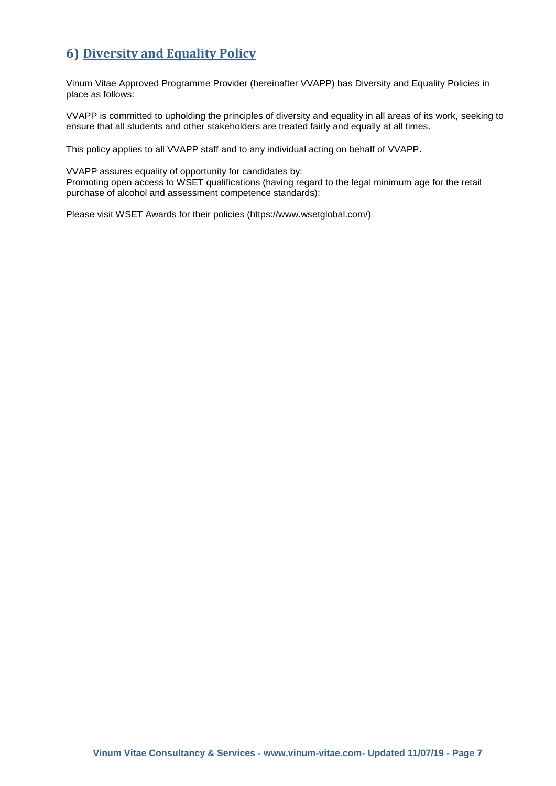### <span id="page-6-0"></span>**6) Diversity and Equality Policy**

Vinum Vitae Approved Programme Provider (hereinafter VVAPP) has Diversity and Equality Policies in place as follows:

VVAPP is committed to upholding the principles of diversity and equality in all areas of its work, seeking to ensure that all students and other stakeholders are treated fairly and equally at all times.

This policy applies to all VVAPP staff and to any individual acting on behalf of VVAPP.

VVAPP assures equality of opportunity for candidates by: Promoting open access to WSET qualifications (having regard to the legal minimum age for the retail purchase of alcohol and assessment competence standards);